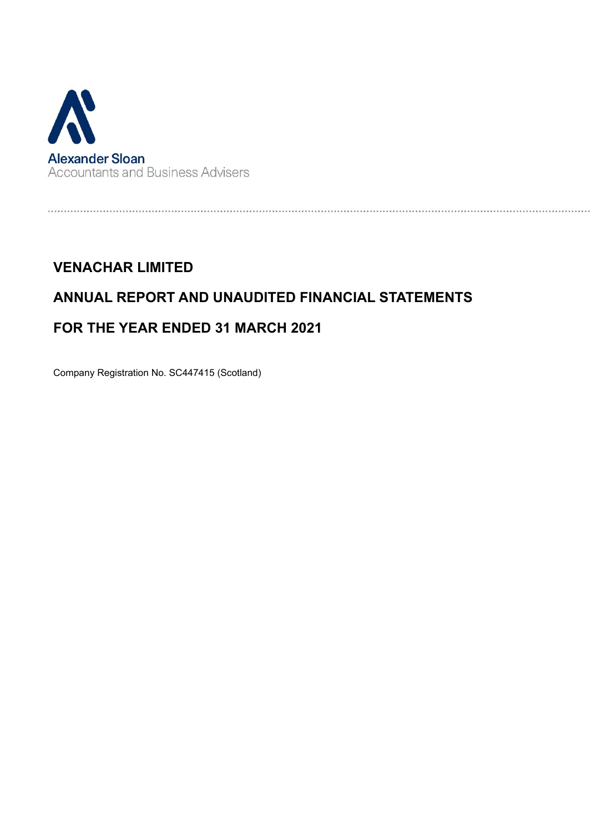

# ANNUAL REPORT AND UNAUDITED FINANCIAL STATEMENTS

## FOR THE YEAR ENDED 31 MARCH 2021

Company Registration No. SC447415 (Scotland)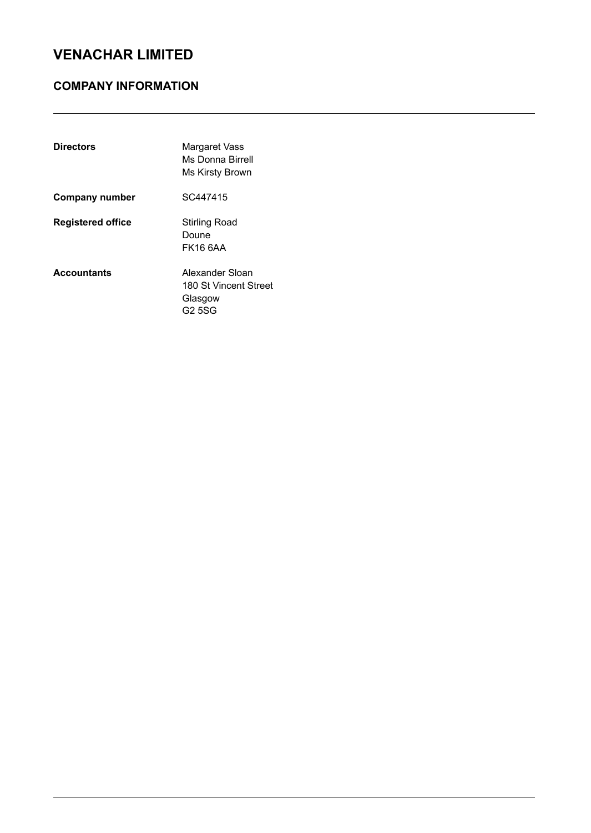### COMPANY INFORMATION

| <b>Directors</b>         | Margaret Vass<br>Ms Donna Birrell<br>Ms Kirsty Brown          |
|--------------------------|---------------------------------------------------------------|
| Company number           | SC447415                                                      |
| <b>Registered office</b> | Stirling Road<br>Doune<br>FK16 6AA                            |
| <b>Accountants</b>       | Alexander Sloan<br>180 St Vincent Street<br>Glasgow<br>G2 5SG |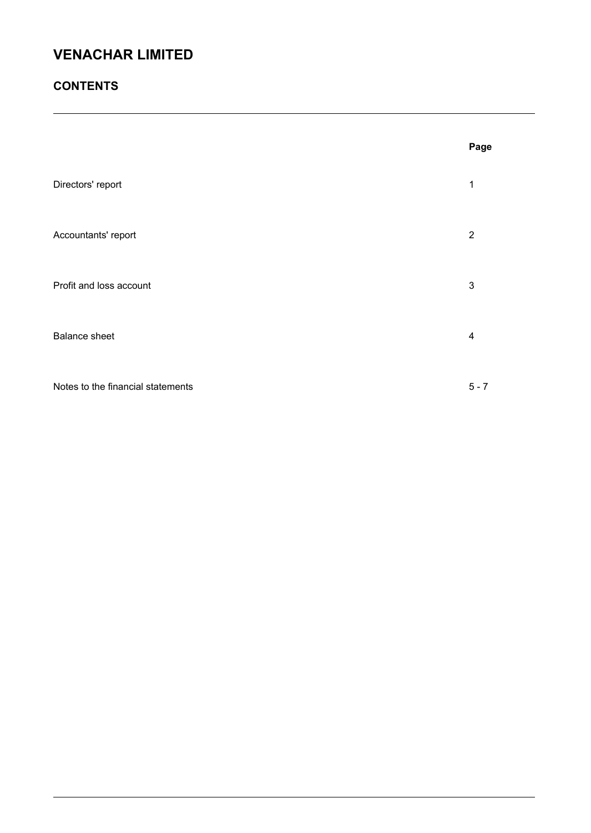### **CONTENTS**

|                                   | Page           |
|-----------------------------------|----------------|
| Directors' report                 | 1              |
| Accountants' report               | $\overline{2}$ |
| Profit and loss account           | $\sqrt{3}$     |
| <b>Balance sheet</b>              | 4              |
| Notes to the financial statements | $5 - 7$        |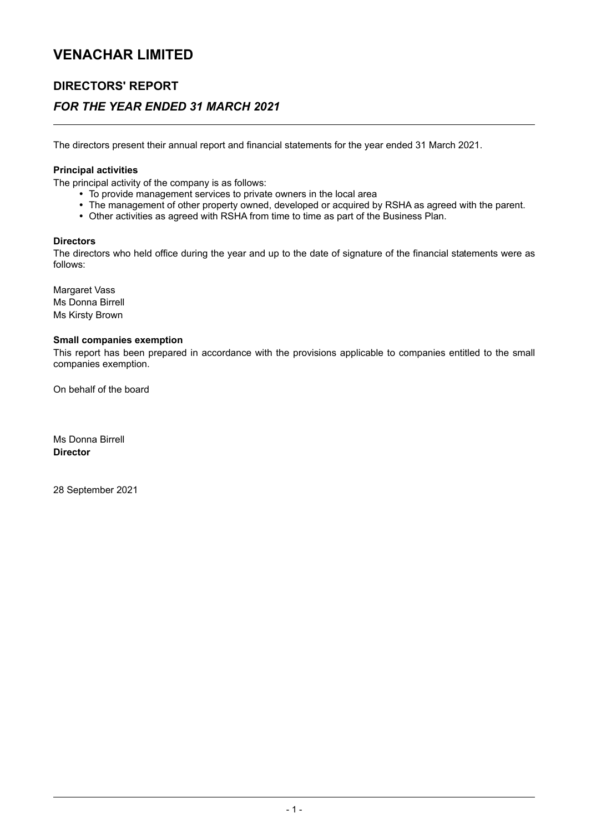### DIRECTORS' REPORT

### FOR THE YEAR ENDED 31 MARCH 2021

The directors present their annual report and financial statements for the year ended 31 March 2021.

#### Principal activities

The principal activity of the company is as follows:

- To provide management services to private owners in the local area
- The management of other property owned, developed or acquired by RSHA as agreed with the parent.
- Other activities as agreed with RSHA from time to time as part of the Business Plan.

#### **Directors**

The directors who held office during the year and up to the date of signature of the financial statements were as follows:

Margaret Vass Ms Donna Birrell Ms Kirsty Brown

#### Small companies exemption

This report has been prepared in accordance with the provisions applicable to companies entitled to the small companies exemption.

On behalf of the board

Ms Donna Birrell **Director** 

28 September 2021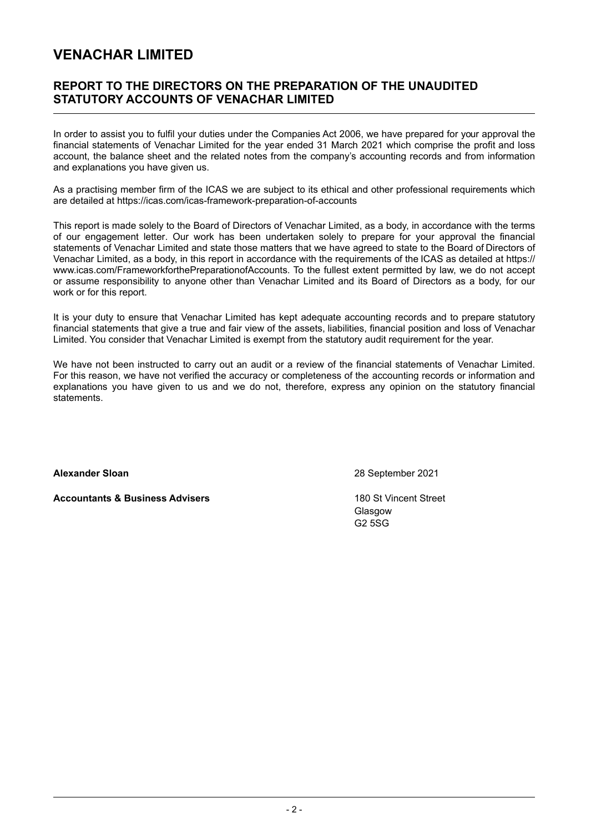### REPORT TO THE DIRECTORS ON THE PREPARATION OF THE UNAUDITED STATUTORY ACCOUNTS OF VENACHAR LIMITED

In order to assist you to fulfil your duties under the Companies Act 2006, we have prepared for your approval the financial statements of Venachar Limited for the year ended 31 March 2021 which comprise the profit and loss account, the balance sheet and the related notes from the company's accounting records and from information and explanations you have given us.

As a practising member firm of the ICAS we are subject to its ethical and other professional requirements which are detailed at https://icas.com/icas-framework-preparation-of-accounts

This report is made solely to the Board of Directors of Venachar Limited, as a body, in accordance with the terms of our engagement letter. Our work has been undertaken solely to prepare for your approval the financial statements of Venachar Limited and state those matters that we have agreed to state to the Board of Directors of Venachar Limited, as a body, in this report in accordance with the requirements of the ICAS as detailed at https:// www.icas.com/FrameworkforthePreparationofAccounts. To the fullest extent permitted by law, we do not accept or assume responsibility to anyone other than Venachar Limited and its Board of Directors as a body, for our work or for this report.

It is your duty to ensure that Venachar Limited has kept adequate accounting records and to prepare statutory financial statements that give a true and fair view of the assets, liabilities, financial position and loss of Venachar Limited. You consider that Venachar Limited is exempt from the statutory audit requirement for the year.

We have not been instructed to carry out an audit or a review of the financial statements of Venachar Limited. For this reason, we have not verified the accuracy or completeness of the accounting records or information and explanations you have given to us and we do not, therefore, express any opinion on the statutory financial statements.

Accountants & Business Advisers 180 St Vincent Street

Alexander Sloan 28 September 2021

Glasgow G2 5SG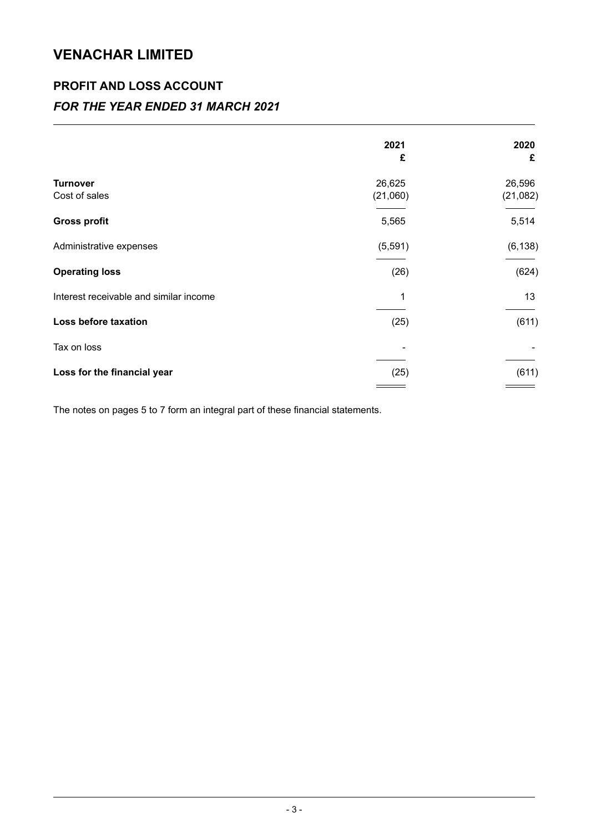## PROFIT AND LOSS ACCOUNT

### FOR THE YEAR ENDED 31 MARCH 2021

|                                        | 2021               | 2020               |
|----------------------------------------|--------------------|--------------------|
|                                        | £                  | £                  |
| <b>Turnover</b><br>Cost of sales       | 26,625<br>(21,060) | 26,596<br>(21,082) |
| <b>Gross profit</b>                    | 5,565              | 5,514              |
| Administrative expenses                | (5, 591)           | (6, 138)           |
| <b>Operating loss</b>                  | (26)               | (624)              |
| Interest receivable and similar income | 1                  | 13                 |
| Loss before taxation                   | (25)               | (611)              |
| Tax on loss                            |                    |                    |
| Loss for the financial year            | (25)               | (611)              |
|                                        |                    |                    |

The notes on pages 5 to 7 form an integral part of these financial statements.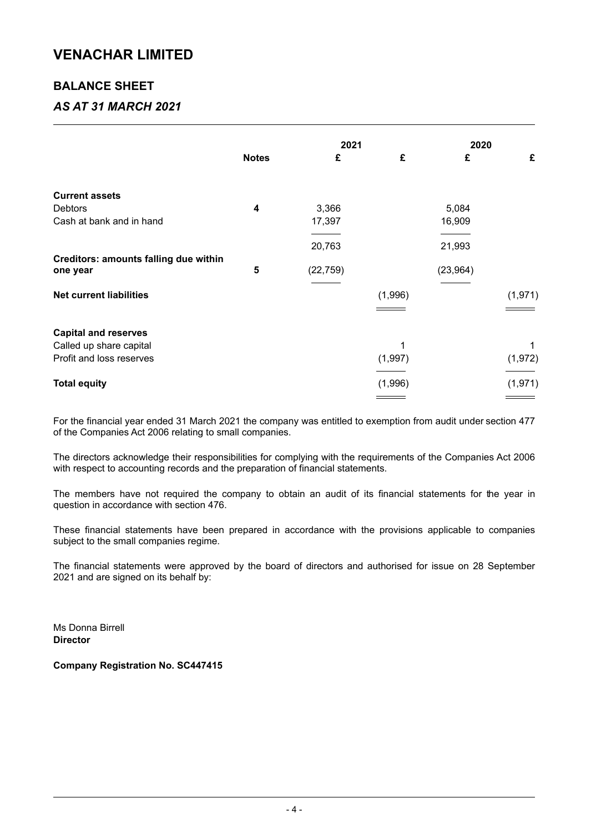### BALANCE SHEET

### AS AT 31 MARCH 2021

|                                       |              | 2021      |         | 2020      |          |
|---------------------------------------|--------------|-----------|---------|-----------|----------|
|                                       | <b>Notes</b> | £         | £       | £         | £        |
| <b>Current assets</b>                 |              |           |         |           |          |
| <b>Debtors</b>                        | 4            | 3,366     |         | 5,084     |          |
| Cash at bank and in hand              |              | 17,397    |         | 16,909    |          |
|                                       |              | 20,763    |         | 21,993    |          |
| Creditors: amounts falling due within |              |           |         |           |          |
| one year                              | 5            | (22, 759) |         | (23, 964) |          |
| <b>Net current liabilities</b>        |              |           | (1,996) |           | (1, 971) |
| <b>Capital and reserves</b>           |              |           |         |           |          |
| Called up share capital               |              |           |         |           | 1        |
| Profit and loss reserves              |              |           | (1,997) |           | (1, 972) |
| <b>Total equity</b>                   |              |           | (1,996) |           | (1, 971) |
|                                       |              |           |         |           |          |

For the financial year ended 31 March 2021 the company was entitled to exemption from audit under section 477 of the Companies Act 2006 relating to small companies.

The directors acknowledge their responsibilities for complying with the requirements of the Companies Act 2006 with respect to accounting records and the preparation of financial statements.

The members have not required the company to obtain an audit of its financial statements for the year in question in accordance with section 476.

These financial statements have been prepared in accordance with the provisions applicable to companies subject to the small companies regime.

The financial statements were approved by the board of directors and authorised for issue on 28 September 2021 and are signed on its behalf by:

Ms Donna Birrell **Director** 

Company Registration No. SC447415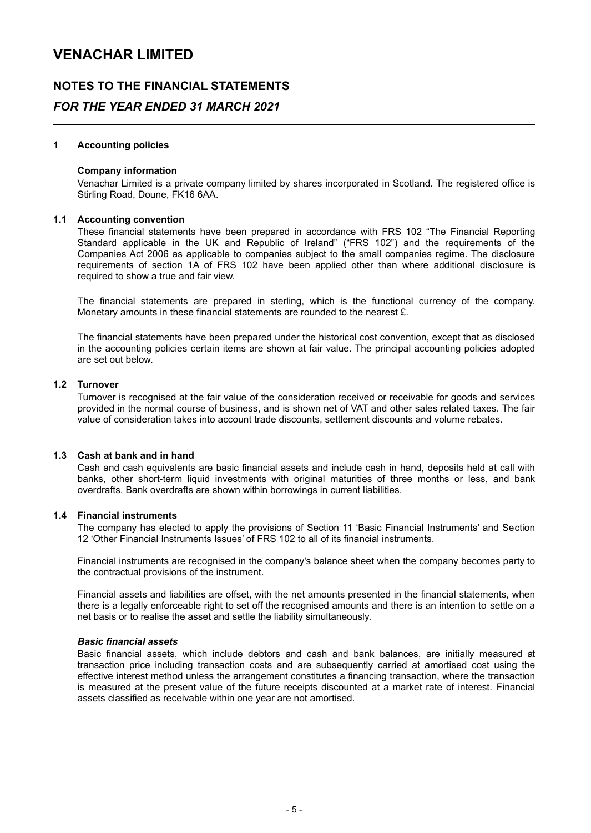### NOTES TO THE FINANCIAL STATEMENTS

### FOR THE YEAR ENDED 31 MARCH 2021

#### 1 Accounting policies

#### Company information

Venachar Limited is a private company limited by shares incorporated in Scotland. The registered office is Stirling Road, Doune, FK16 6AA.

#### 1.1 Accounting convention

These financial statements have been prepared in accordance with FRS 102 "The Financial Reporting Standard applicable in the UK and Republic of Ireland" ("FRS 102") and the requirements of the Companies Act 2006 as applicable to companies subject to the small companies regime. The disclosure requirements of section 1A of FRS 102 have been applied other than where additional disclosure is required to show a true and fair view.

The financial statements are prepared in sterling, which is the functional currency of the company. Monetary amounts in these financial statements are rounded to the nearest £.

The financial statements have been prepared under the historical cost convention, except that as disclosed in the accounting policies certain items are shown at fair value. The principal accounting policies adopted are set out below.

#### 1.2 Turnover

Turnover is recognised at the fair value of the consideration received or receivable for goods and services provided in the normal course of business, and is shown net of VAT and other sales related taxes. The fair value of consideration takes into account trade discounts, settlement discounts and volume rebates.

#### 1.3 Cash at bank and in hand

Cash and cash equivalents are basic financial assets and include cash in hand, deposits held at call with banks, other short-term liquid investments with original maturities of three months or less, and bank overdrafts. Bank overdrafts are shown within borrowings in current liabilities.

#### 1.4 Financial instruments

The company has elected to apply the provisions of Section 11 'Basic Financial Instruments' and Section 12 'Other Financial Instruments Issues' of FRS 102 to all of its financial instruments.

Financial instruments are recognised in the company's balance sheet when the company becomes party to the contractual provisions of the instrument.

Financial assets and liabilities are offset, with the net amounts presented in the financial statements, when there is a legally enforceable right to set off the recognised amounts and there is an intention to settle on a net basis or to realise the asset and settle the liability simultaneously.

#### Basic financial assets

Basic financial assets, which include debtors and cash and bank balances, are initially measured at transaction price including transaction costs and are subsequently carried at amortised cost using the effective interest method unless the arrangement constitutes a financing transaction, where the transaction is measured at the present value of the future receipts discounted at a market rate of interest. Financial assets classified as receivable within one year are not amortised.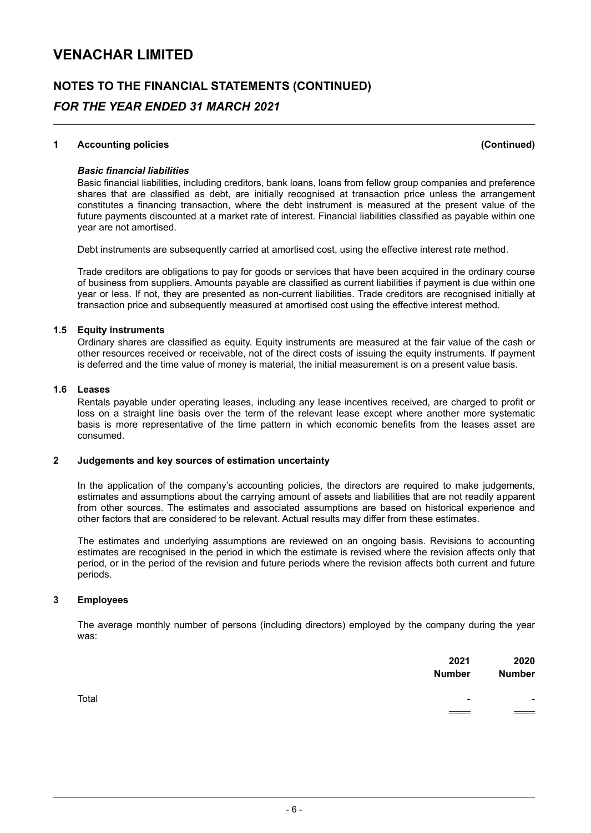## NOTES TO THE FINANCIAL STATEMENTS (CONTINUED) FOR THE YEAR ENDED 31 MARCH 2021

#### 1 Accounting policies (Continued)

#### Basic financial liabilities

Basic financial liabilities, including creditors, bank loans, loans from fellow group companies and preference shares that are classified as debt, are initially recognised at transaction price unless the arrangement constitutes a financing transaction, where the debt instrument is measured at the present value of the future payments discounted at a market rate of interest. Financial liabilities classified as payable within one year are not amortised.

Debt instruments are subsequently carried at amortised cost, using the effective interest rate method.

Trade creditors are obligations to pay for goods or services that have been acquired in the ordinary course of business from suppliers. Amounts payable are classified as current liabilities if payment is due within one year or less. If not, they are presented as non-current liabilities. Trade creditors are recognised initially at transaction price and subsequently measured at amortised cost using the effective interest method.

#### 1.5 Equity instruments

Ordinary shares are classified as equity. Equity instruments are measured at the fair value of the cash or other resources received or receivable, not of the direct costs of issuing the equity instruments. If payment is deferred and the time value of money is material, the initial measurement is on a present value basis.

#### 1.6 Leases

Rentals payable under operating leases, including any lease incentives received, are charged to profit or loss on a straight line basis over the term of the relevant lease except where another more systematic basis is more representative of the time pattern in which economic benefits from the leases asset are consumed.

#### 2 Judgements and key sources of estimation uncertainty

In the application of the company's accounting policies, the directors are required to make judgements, estimates and assumptions about the carrying amount of assets and liabilities that are not readily apparent from other sources. The estimates and associated assumptions are based on historical experience and other factors that are considered to be relevant. Actual results may differ from these estimates.

The estimates and underlying assumptions are reviewed on an ongoing basis. Revisions to accounting estimates are recognised in the period in which the estimate is revised where the revision affects only that period, or in the period of the revision and future periods where the revision affects both current and future periods.

#### 3 Employees

The average monthly number of persons (including directors) employed by the company during the year was:

|       | 2021<br><b>Number</b>               | 2020<br><b>Number</b> |
|-------|-------------------------------------|-----------------------|
| Total | $\overline{\phantom{a}}$            | ٠                     |
|       | $\hspace{0.05cm} = \hspace{0.05cm}$ | $\hspace{0.05cm} =$   |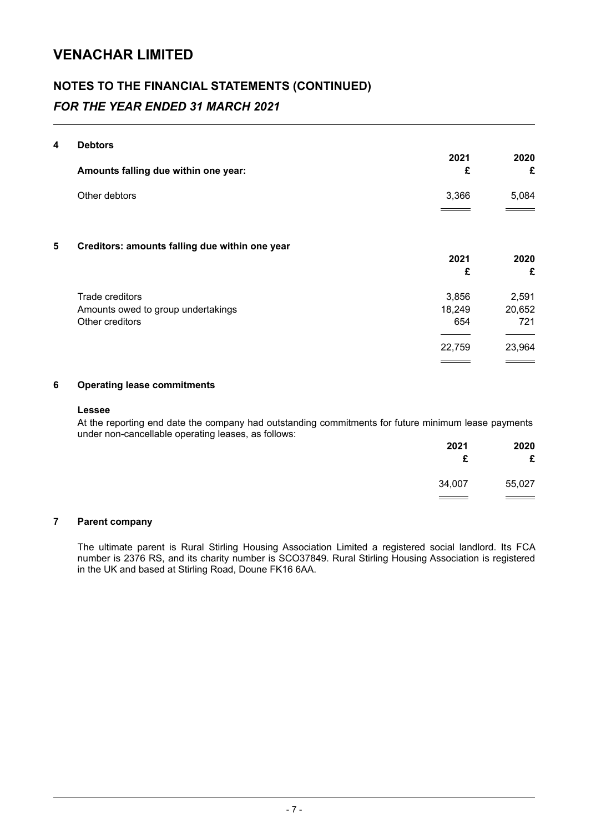## NOTES TO THE FINANCIAL STATEMENTS (CONTINUED) FOR THE YEAR ENDED 31 MARCH 2021

#### 4 Debtors

|   | Amounts falling due within one year:                                     | 2021<br>£                        | 2020<br>£                        |
|---|--------------------------------------------------------------------------|----------------------------------|----------------------------------|
|   | Other debtors                                                            | 3,366                            | 5,084                            |
| 5 | Creditors: amounts falling due within one year                           | 2021<br>£                        | 2020<br>£                        |
|   | Trade creditors<br>Amounts owed to group undertakings<br>Other creditors | 3,856<br>18,249<br>654<br>22,759 | 2,591<br>20,652<br>721<br>23,964 |
|   |                                                                          |                                  |                                  |

#### 6 Operating lease commitments

#### Lessee

At the reporting end date the company had outstanding commitments for future minimum lease payments under non-cancellable operating leases, as follows:

| 2021<br>£ | 2020<br>£ |
|-----------|-----------|
| 34,007    | 55,027    |
|           |           |

#### 7 Parent company

The ultimate parent is Rural Stirling Housing Association Limited a registered social landlord. Its FCA number is 2376 RS, and its charity number is SCO37849. Rural Stirling Housing Association is registered in the UK and based at Stirling Road, Doune FK16 6AA.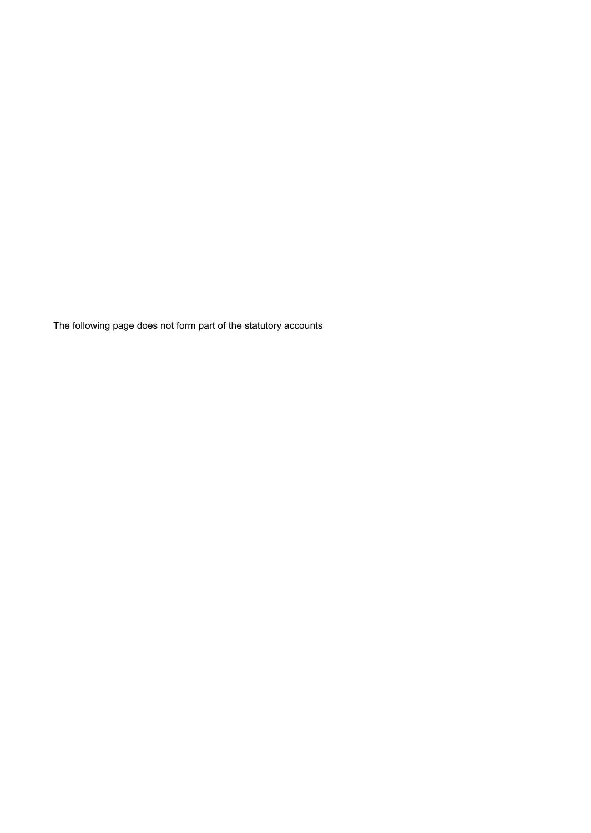The following page does not form part of the statutory accounts